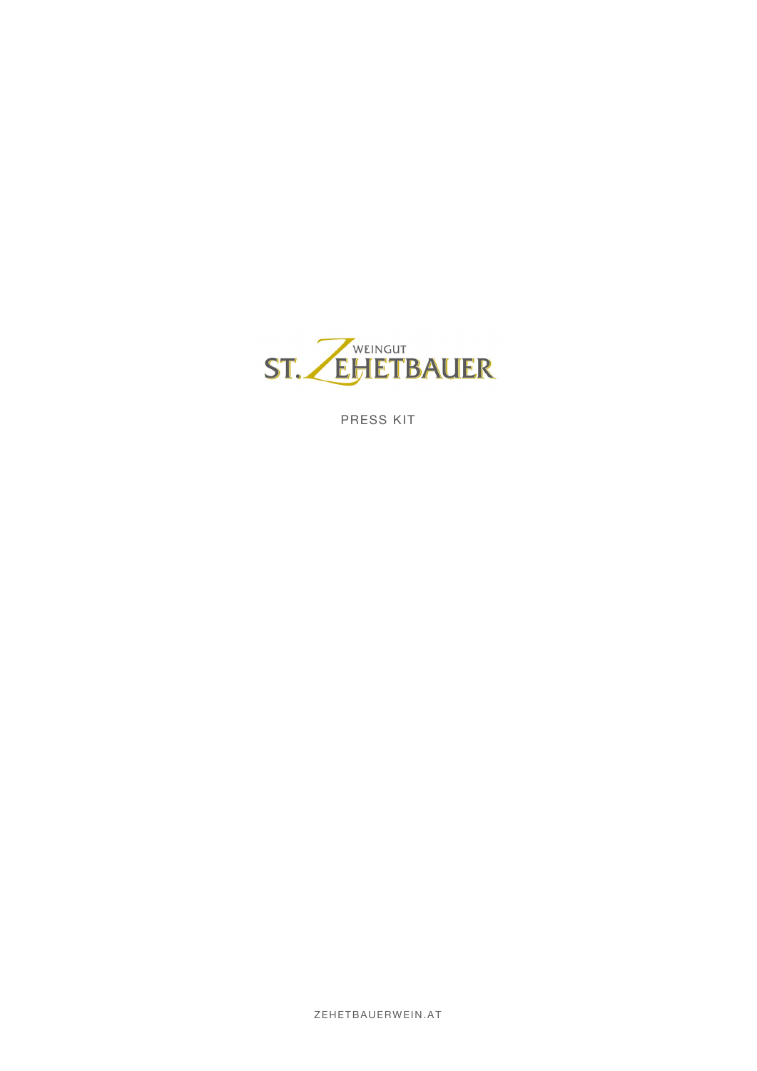

PRESS KIT

ZEHETBAUERWEIN.AT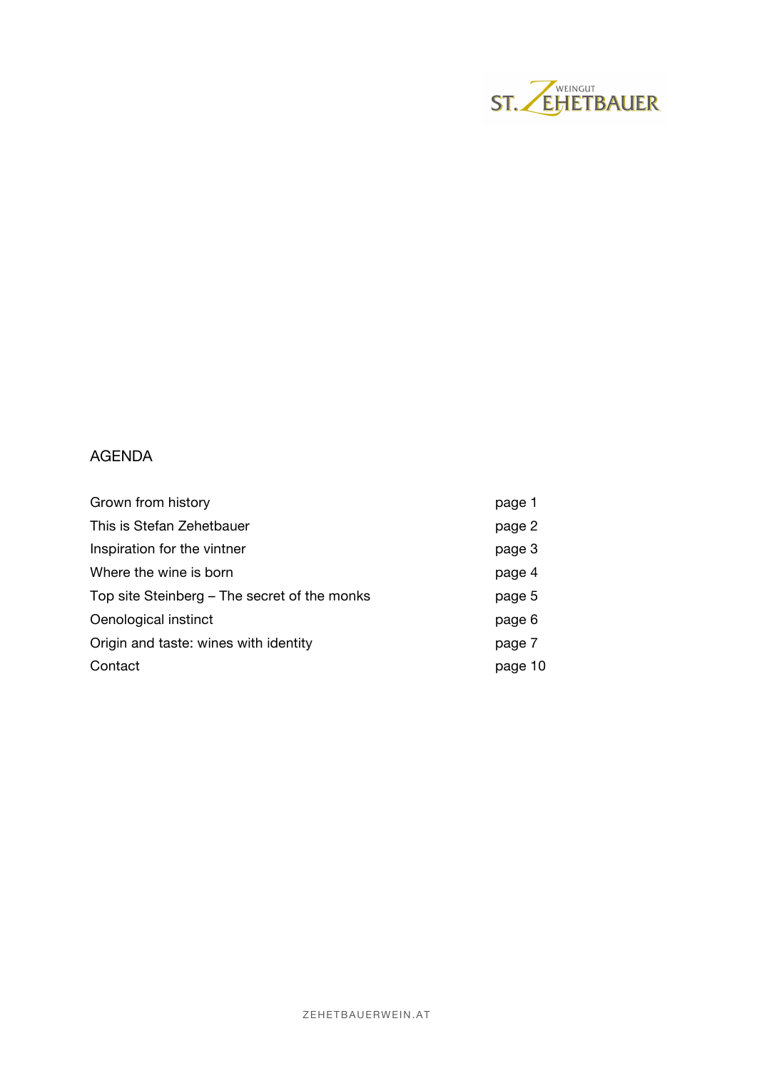

# AGENDA

| page 1  |
|---------|
| page 2  |
| page 3  |
| page 4  |
| page 5  |
| page 6  |
| page 7  |
| page 10 |
|         |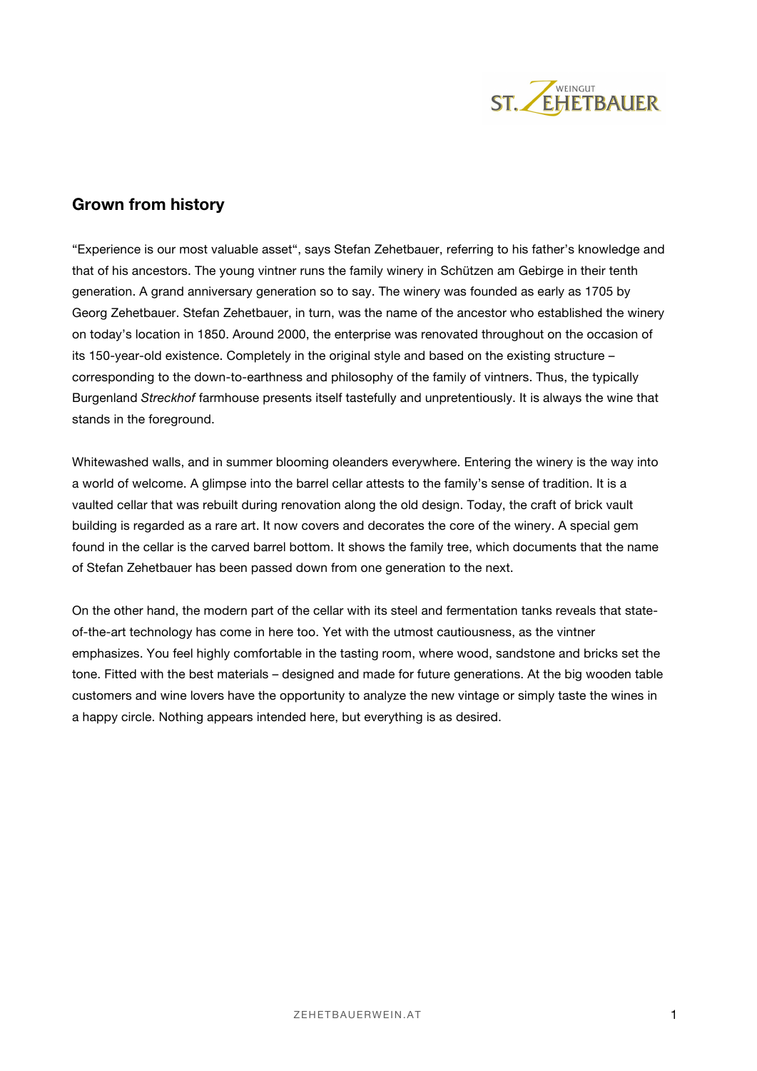

## **Grown from history**

"Experience is our most valuable asset", says Stefan Zehetbauer, referring to his father's knowledge and that of his ancestors. The young vintner runs the family winery in Schützen am Gebirge in their tenth generation. A grand anniversary generation so to say. The winery was founded as early as 1705 by Georg Zehetbauer. Stefan Zehetbauer, in turn, was the name of the ancestor who established the winery on today's location in 1850. Around 2000, the enterprise was renovated throughout on the occasion of its 150-year-old existence. Completely in the original style and based on the existing structure – corresponding to the down-to-earthness and philosophy of the family of vintners. Thus, the typically Burgenland *Streckhof* farmhouse presents itself tastefully and unpretentiously. It is always the wine that stands in the foreground.

Whitewashed walls, and in summer blooming oleanders everywhere. Entering the winery is the way into a world of welcome. A glimpse into the barrel cellar attests to the family's sense of tradition. It is a vaulted cellar that was rebuilt during renovation along the old design. Today, the craft of brick vault building is regarded as a rare art. It now covers and decorates the core of the winery. A special gem found in the cellar is the carved barrel bottom. It shows the family tree, which documents that the name of Stefan Zehetbauer has been passed down from one generation to the next.

On the other hand, the modern part of the cellar with its steel and fermentation tanks reveals that stateof-the-art technology has come in here too. Yet with the utmost cautiousness, as the vintner emphasizes. You feel highly comfortable in the tasting room, where wood, sandstone and bricks set the tone. Fitted with the best materials – designed and made for future generations. At the big wooden table customers and wine lovers have the opportunity to analyze the new vintage or simply taste the wines in a happy circle. Nothing appears intended here, but everything is as desired.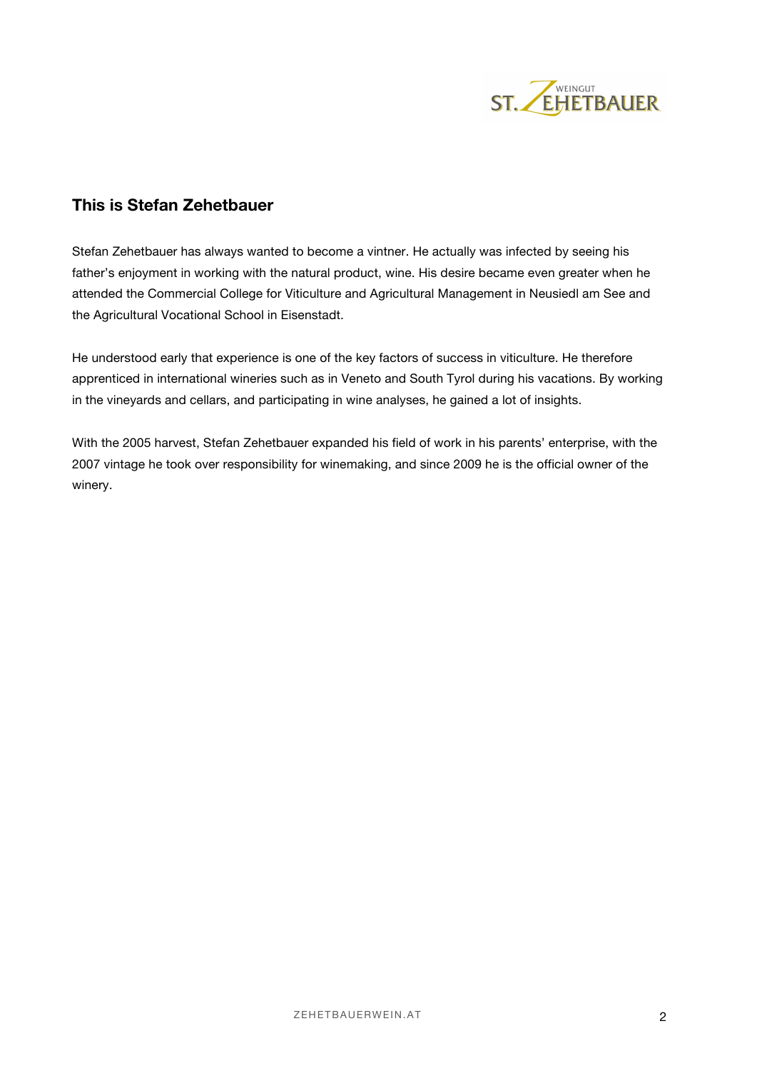

## **This is Stefan Zehetbauer**

Stefan Zehetbauer has always wanted to become a vintner. He actually was infected by seeing his father's enjoyment in working with the natural product, wine. His desire became even greater when he attended the Commercial College for Viticulture and Agricultural Management in Neusiedl am See and the Agricultural Vocational School in Eisenstadt.

He understood early that experience is one of the key factors of success in viticulture. He therefore apprenticed in international wineries such as in Veneto and South Tyrol during his vacations. By working in the vineyards and cellars, and participating in wine analyses, he gained a lot of insights.

With the 2005 harvest, Stefan Zehetbauer expanded his field of work in his parents' enterprise, with the 2007 vintage he took over responsibility for winemaking, and since 2009 he is the official owner of the winery.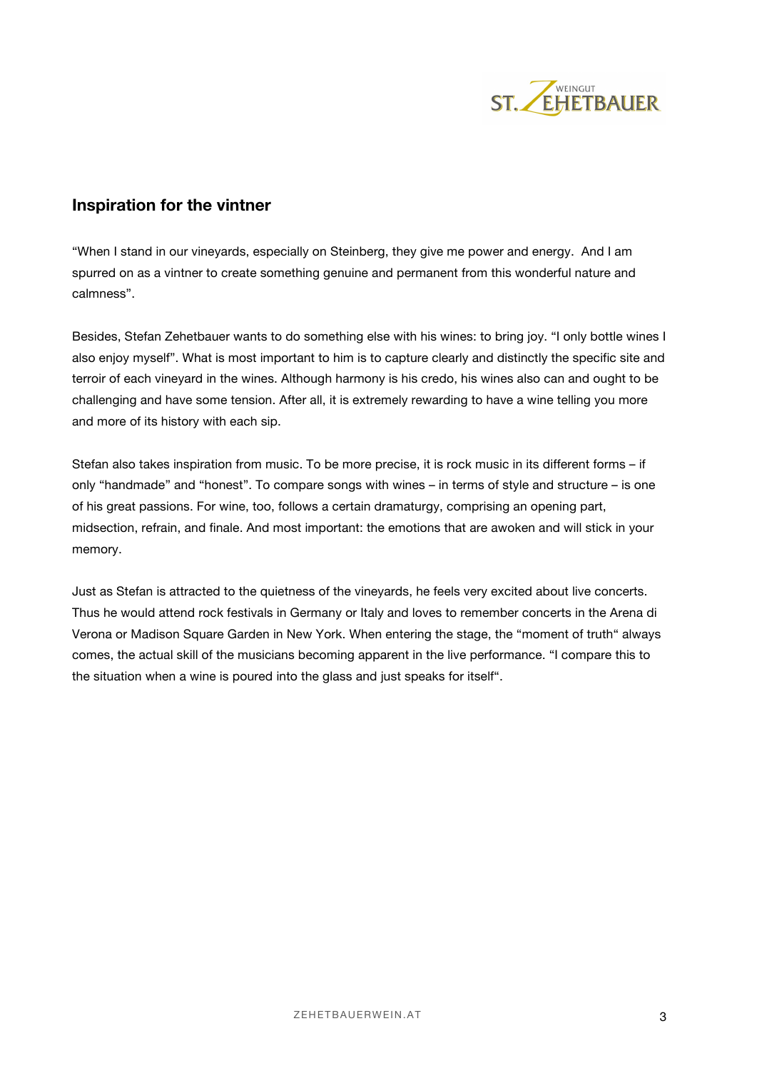

## **Inspiration for the vintner**

"When I stand in our vineyards, especially on Steinberg, they give me power and energy. And I am spurred on as a vintner to create something genuine and permanent from this wonderful nature and calmness".

Besides, Stefan Zehetbauer wants to do something else with his wines: to bring joy. "I only bottle wines I also enjoy myself". What is most important to him is to capture clearly and distinctly the specific site and terroir of each vineyard in the wines. Although harmony is his credo, his wines also can and ought to be challenging and have some tension. After all, it is extremely rewarding to have a wine telling you more and more of its history with each sip.

Stefan also takes inspiration from music. To be more precise, it is rock music in its different forms – if only "handmade" and "honest". To compare songs with wines – in terms of style and structure – is one of his great passions. For wine, too, follows a certain dramaturgy, comprising an opening part, midsection, refrain, and finale. And most important: the emotions that are awoken and will stick in your memory.

Just as Stefan is attracted to the quietness of the vineyards, he feels very excited about live concerts. Thus he would attend rock festivals in Germany or Italy and loves to remember concerts in the Arena di Verona or Madison Square Garden in New York. When entering the stage, the "moment of truth" always comes, the actual skill of the musicians becoming apparent in the live performance. "I compare this to the situation when a wine is poured into the glass and just speaks for itself".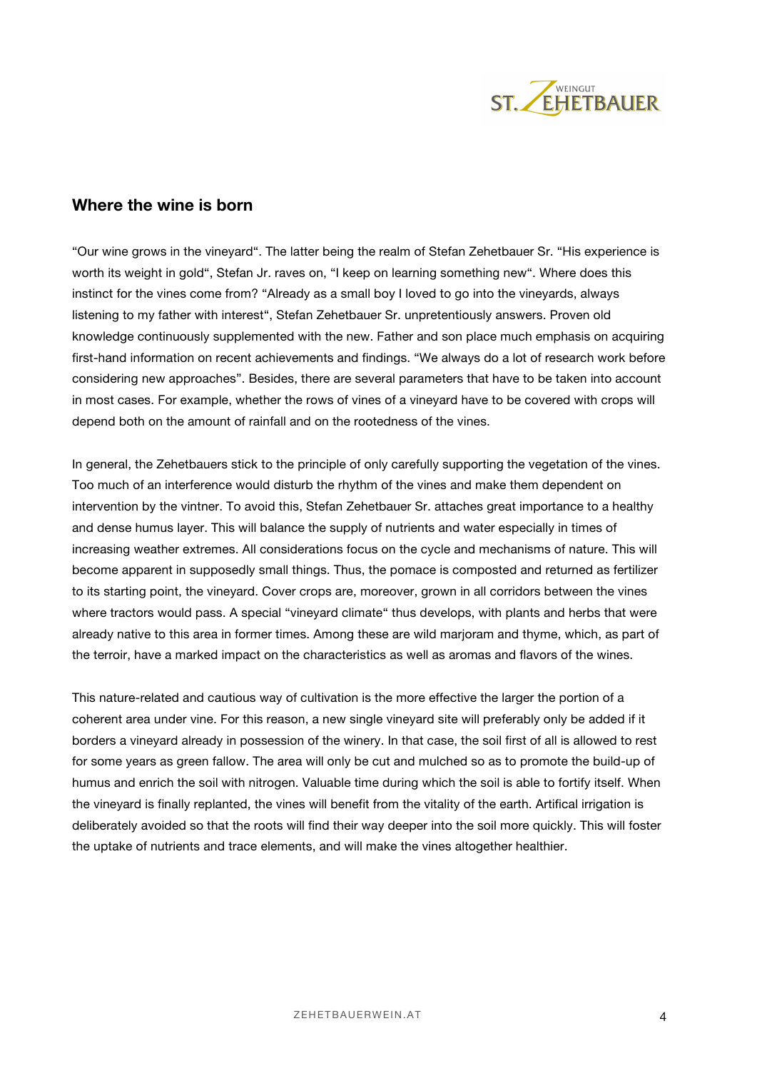

### **Where the wine is born**

"Our wine grows in the vineyard". The latter being the realm of Stefan Zehetbauer Sr. "His experience is worth its weight in gold", Stefan Jr. raves on, "I keep on learning something new". Where does this instinct for the vines come from? "Already as a small boy I loved to go into the vineyards, always listening to my father with interest", Stefan Zehetbauer Sr. unpretentiously answers. Proven old knowledge continuously supplemented with the new. Father and son place much emphasis on acquiring first-hand information on recent achievements and findings. "We always do a lot of research work before considering new approaches". Besides, there are several parameters that have to be taken into account in most cases. For example, whether the rows of vines of a vineyard have to be covered with crops will depend both on the amount of rainfall and on the rootedness of the vines.

In general, the Zehetbauers stick to the principle of only carefully supporting the vegetation of the vines. Too much of an interference would disturb the rhythm of the vines and make them dependent on intervention by the vintner. To avoid this, Stefan Zehetbauer Sr. attaches great importance to a healthy and dense humus layer. This will balance the supply of nutrients and water especially in times of increasing weather extremes. All considerations focus on the cycle and mechanisms of nature. This will become apparent in supposedly small things. Thus, the pomace is composted and returned as fertilizer to its starting point, the vineyard. Cover crops are, moreover, grown in all corridors between the vines where tractors would pass. A special "vineyard climate" thus develops, with plants and herbs that were already native to this area in former times. Among these are wild marjoram and thyme, which, as part of the terroir, have a marked impact on the characteristics as well as aromas and flavors of the wines.

This nature-related and cautious way of cultivation is the more effective the larger the portion of a coherent area under vine. For this reason, a new single vineyard site will preferably only be added if it borders a vineyard already in possession of the winery. In that case, the soil first of all is allowed to rest for some years as green fallow. The area will only be cut and mulched so as to promote the build-up of humus and enrich the soil with nitrogen. Valuable time during which the soil is able to fortify itself. When the vineyard is finally replanted, the vines will benefit from the vitality of the earth. Artifical irrigation is deliberately avoided so that the roots will find their way deeper into the soil more quickly. This will foster the uptake of nutrients and trace elements, and will make the vines altogether healthier.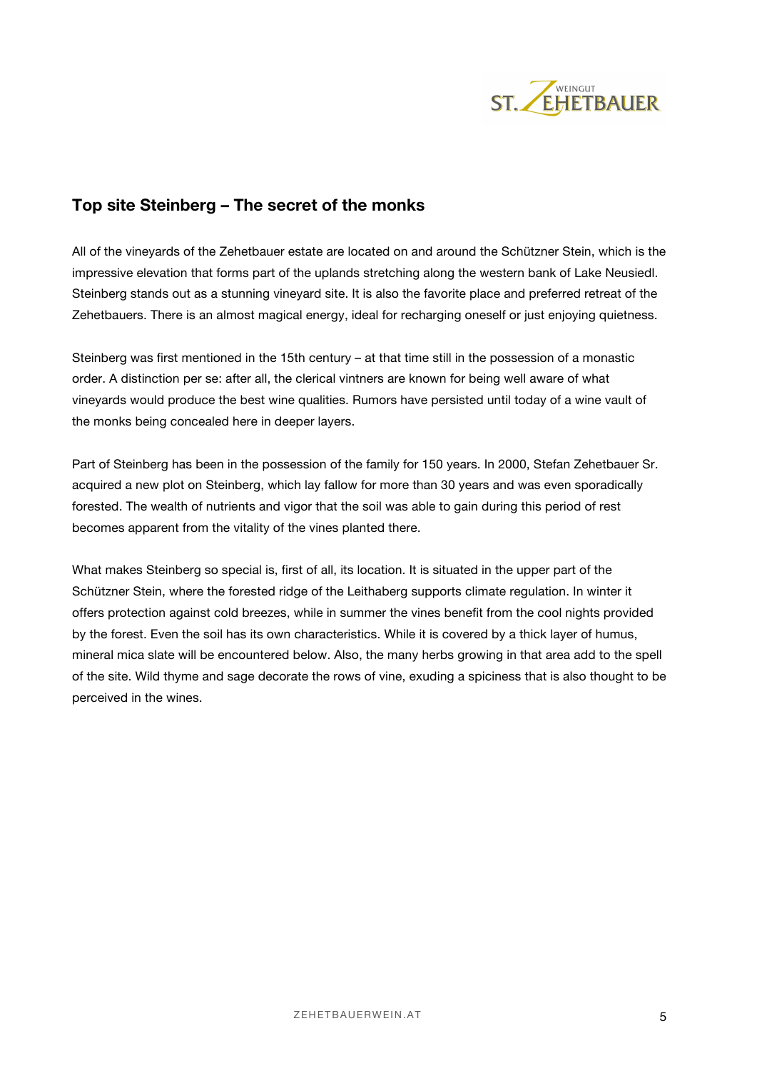

## **Top site Steinberg – The secret of the monks**

All of the vineyards of the Zehetbauer estate are located on and around the Schützner Stein, which is the impressive elevation that forms part of the uplands stretching along the western bank of Lake Neusiedl. Steinberg stands out as a stunning vineyard site. It is also the favorite place and preferred retreat of the Zehetbauers. There is an almost magical energy, ideal for recharging oneself or just enjoying quietness.

Steinberg was first mentioned in the 15th century – at that time still in the possession of a monastic order. A distinction per se: after all, the clerical vintners are known for being well aware of what vineyards would produce the best wine qualities. Rumors have persisted until today of a wine vault of the monks being concealed here in deeper layers.

Part of Steinberg has been in the possession of the family for 150 years. In 2000, Stefan Zehetbauer Sr. acquired a new plot on Steinberg, which lay fallow for more than 30 years and was even sporadically forested. The wealth of nutrients and vigor that the soil was able to gain during this period of rest becomes apparent from the vitality of the vines planted there.

What makes Steinberg so special is, first of all, its location. It is situated in the upper part of the Schützner Stein, where the forested ridge of the Leithaberg supports climate regulation. In winter it offers protection against cold breezes, while in summer the vines benefit from the cool nights provided by the forest. Even the soil has its own characteristics. While it is covered by a thick layer of humus, mineral mica slate will be encountered below. Also, the many herbs growing in that area add to the spell of the site. Wild thyme and sage decorate the rows of vine, exuding a spiciness that is also thought to be perceived in the wines.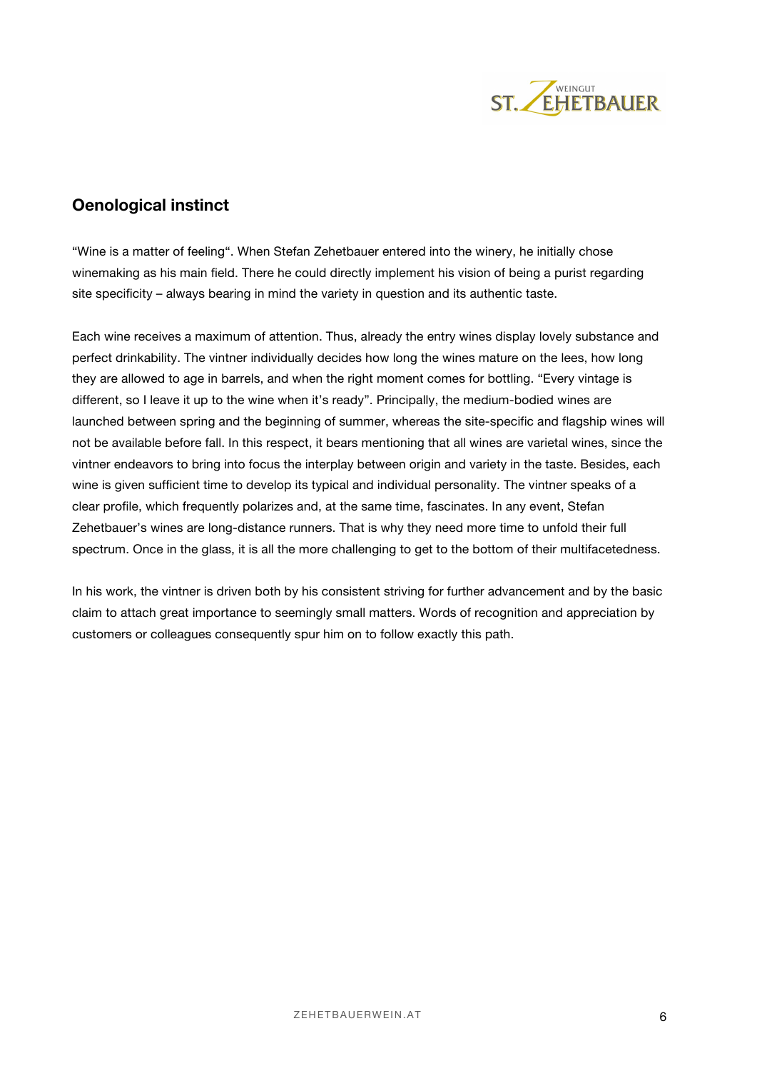

# **Oenological instinct**

"Wine is a matter of feeling". When Stefan Zehetbauer entered into the winery, he initially chose winemaking as his main field. There he could directly implement his vision of being a purist regarding site specificity – always bearing in mind the variety in question and its authentic taste.

Each wine receives a maximum of attention. Thus, already the entry wines display lovely substance and perfect drinkability. The vintner individually decides how long the wines mature on the lees, how long they are allowed to age in barrels, and when the right moment comes for bottling. "Every vintage is different, so I leave it up to the wine when it's ready". Principally, the medium-bodied wines are launched between spring and the beginning of summer, whereas the site-specific and flagship wines will not be available before fall. In this respect, it bears mentioning that all wines are varietal wines, since the vintner endeavors to bring into focus the interplay between origin and variety in the taste. Besides, each wine is given sufficient time to develop its typical and individual personality. The vintner speaks of a clear profile, which frequently polarizes and, at the same time, fascinates. In any event, Stefan Zehetbauer's wines are long-distance runners. That is why they need more time to unfold their full spectrum. Once in the glass, it is all the more challenging to get to the bottom of their multifacetedness.

In his work, the vintner is driven both by his consistent striving for further advancement and by the basic claim to attach great importance to seemingly small matters. Words of recognition and appreciation by customers or colleagues consequently spur him on to follow exactly this path.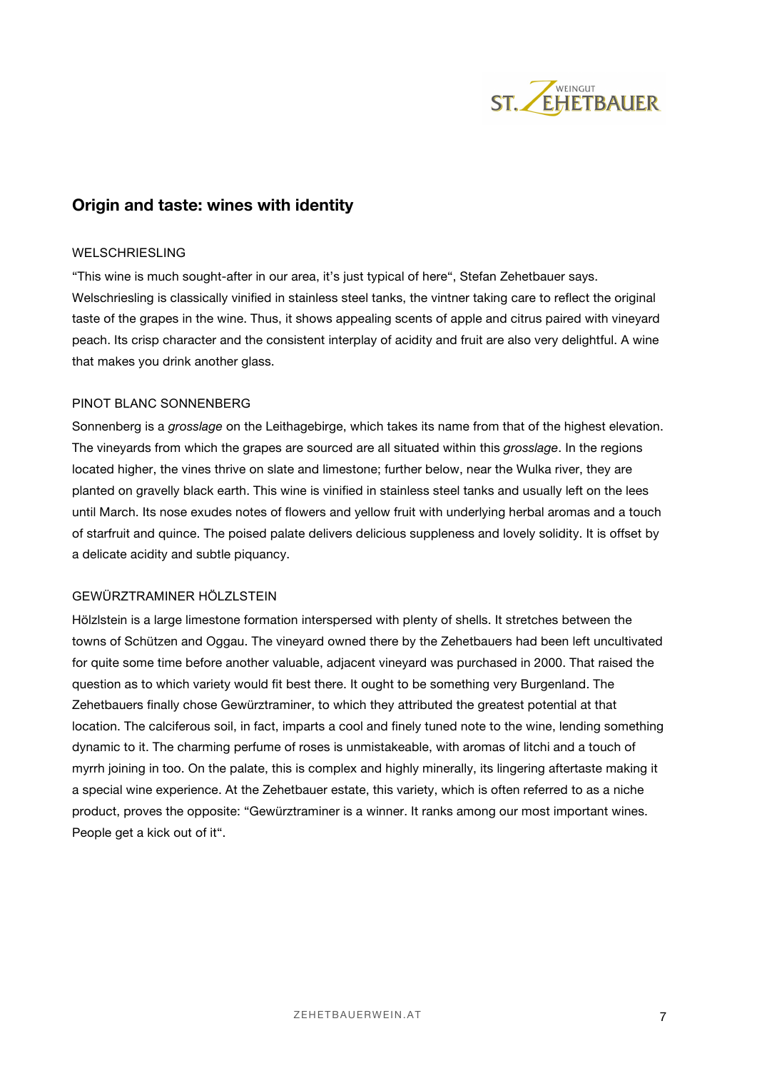

## **Origin and taste: wines with identity**

#### WELSCHRIESLING

"This wine is much sought-after in our area, it's just typical of here", Stefan Zehetbauer says. Welschriesling is classically vinified in stainless steel tanks, the vintner taking care to reflect the original taste of the grapes in the wine. Thus, it shows appealing scents of apple and citrus paired with vineyard peach. Its crisp character and the consistent interplay of acidity and fruit are also very delightful. A wine that makes you drink another glass.

### PINOT BLANC SONNENBERG

Sonnenberg is a *grosslage* on the Leithagebirge, which takes its name from that of the highest elevation. The vineyards from which the grapes are sourced are all situated within this *grosslage*. In the regions located higher, the vines thrive on slate and limestone; further below, near the Wulka river, they are planted on gravelly black earth. This wine is vinified in stainless steel tanks and usually left on the lees until March. Its nose exudes notes of flowers and yellow fruit with underlying herbal aromas and a touch of starfruit and quince. The poised palate delivers delicious suppleness and lovely solidity. It is offset by a delicate acidity and subtle piquancy.

### GEWÜRZTRAMINER HÖLZLSTEIN

Hölzlstein is a large limestone formation interspersed with plenty of shells. It stretches between the towns of Schützen and Oggau. The vineyard owned there by the Zehetbauers had been left uncultivated for quite some time before another valuable, adjacent vineyard was purchased in 2000. That raised the question as to which variety would fit best there. It ought to be something very Burgenland. The Zehetbauers finally chose Gewürztraminer, to which they attributed the greatest potential at that location. The calciferous soil, in fact, imparts a cool and finely tuned note to the wine, lending something dynamic to it. The charming perfume of roses is unmistakeable, with aromas of litchi and a touch of myrrh joining in too. On the palate, this is complex and highly minerally, its lingering aftertaste making it a special wine experience. At the Zehetbauer estate, this variety, which is often referred to as a niche product, proves the opposite: "Gewürztraminer is a winner. It ranks among our most important wines. People get a kick out of it".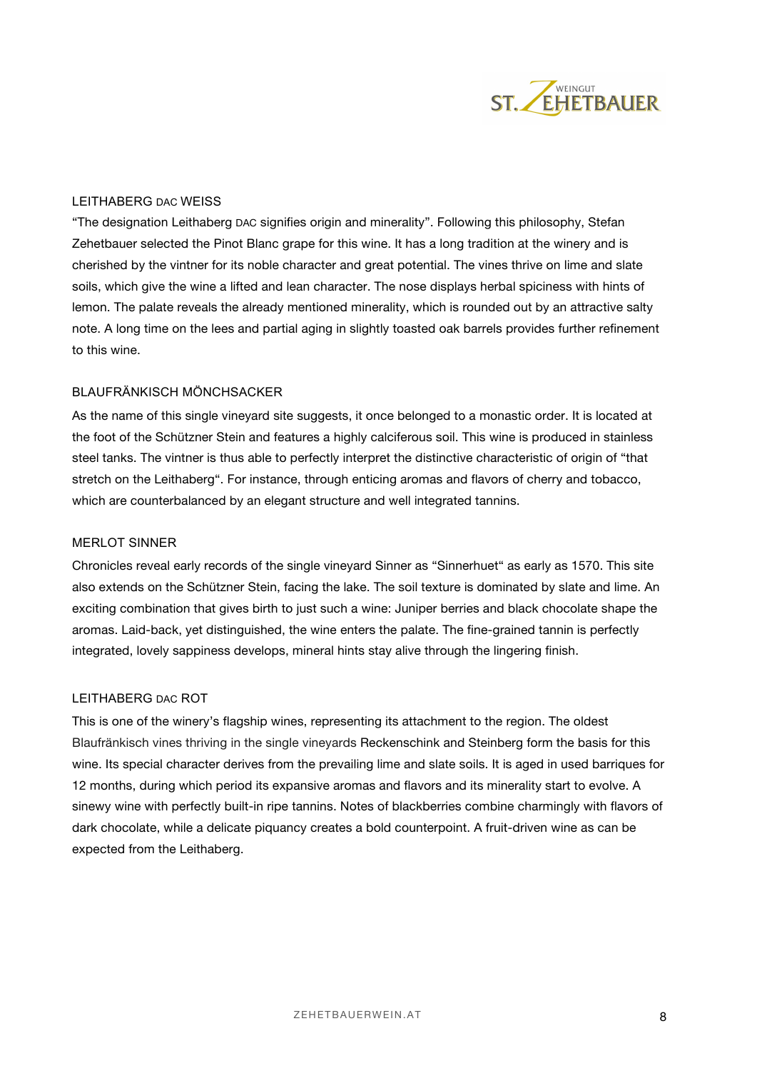

### LEITHABERG DAC WEISS

"The designation Leithaberg DAC signifies origin and minerality". Following this philosophy, Stefan Zehetbauer selected the Pinot Blanc grape for this wine. It has a long tradition at the winery and is cherished by the vintner for its noble character and great potential. The vines thrive on lime and slate soils, which give the wine a lifted and lean character. The nose displays herbal spiciness with hints of lemon. The palate reveals the already mentioned minerality, which is rounded out by an attractive salty note. A long time on the lees and partial aging in slightly toasted oak barrels provides further refinement to this wine.

#### BLAUFRÄNKISCH MÖNCHSACKER

As the name of this single vineyard site suggests, it once belonged to a monastic order. It is located at the foot of the Schützner Stein and features a highly calciferous soil. This wine is produced in stainless steel tanks. The vintner is thus able to perfectly interpret the distinctive characteristic of origin of "that stretch on the Leithaberg". For instance, through enticing aromas and flavors of cherry and tobacco, which are counterbalanced by an elegant structure and well integrated tannins.

#### MERLOT SINNER

Chronicles reveal early records of the single vineyard Sinner as "Sinnerhuet" as early as 1570. This site also extends on the Schützner Stein, facing the lake. The soil texture is dominated by slate and lime. An exciting combination that gives birth to just such a wine: Juniper berries and black chocolate shape the aromas. Laid-back, yet distinguished, the wine enters the palate. The fine-grained tannin is perfectly integrated, lovely sappiness develops, mineral hints stay alive through the lingering finish.

#### LEITHABERG DAC ROT

This is one of the winery's flagship wines, representing its attachment to the region. The oldest Blaufränkisch vines thriving in the single vineyards Reckenschink and Steinberg form the basis for this wine. Its special character derives from the prevailing lime and slate soils. It is aged in used barriques for 12 months, during which period its expansive aromas and flavors and its minerality start to evolve. A sinewy wine with perfectly built-in ripe tannins. Notes of blackberries combine charmingly with flavors of dark chocolate, while a delicate piquancy creates a bold counterpoint. A fruit-driven wine as can be expected from the Leithaberg.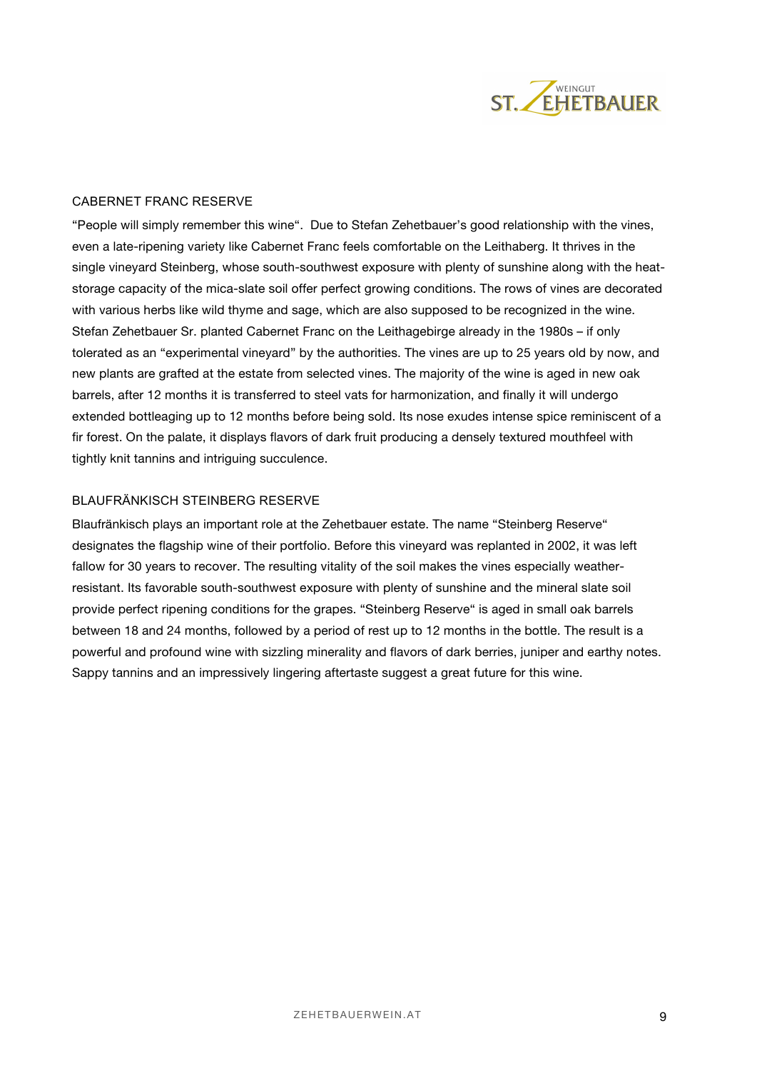

### CABERNET FRANC RESERVE

"People will simply remember this wine". Due to Stefan Zehetbauer's good relationship with the vines, even a late-ripening variety like Cabernet Franc feels comfortable on the Leithaberg. It thrives in the single vineyard Steinberg, whose south-southwest exposure with plenty of sunshine along with the heatstorage capacity of the mica-slate soil offer perfect growing conditions. The rows of vines are decorated with various herbs like wild thyme and sage, which are also supposed to be recognized in the wine. Stefan Zehetbauer Sr. planted Cabernet Franc on the Leithagebirge already in the 1980s – if only tolerated as an "experimental vineyard" by the authorities. The vines are up to 25 years old by now, and new plants are grafted at the estate from selected vines. The majority of the wine is aged in new oak barrels, after 12 months it is transferred to steel vats for harmonization, and finally it will undergo extended bottleaging up to 12 months before being sold. Its nose exudes intense spice reminiscent of a fir forest. On the palate, it displays flavors of dark fruit producing a densely textured mouthfeel with tightly knit tannins and intriguing succulence.

### BLAUFRÄNKISCH STEINBERG RESERVE

Blaufränkisch plays an important role at the Zehetbauer estate. The name "Steinberg Reserve" designates the flagship wine of their portfolio. Before this vineyard was replanted in 2002, it was left fallow for 30 years to recover. The resulting vitality of the soil makes the vines especially weatherresistant. Its favorable south-southwest exposure with plenty of sunshine and the mineral slate soil provide perfect ripening conditions for the grapes. "Steinberg Reserve" is aged in small oak barrels between 18 and 24 months, followed by a period of rest up to 12 months in the bottle. The result is a powerful and profound wine with sizzling minerality and flavors of dark berries, juniper and earthy notes. Sappy tannins and an impressively lingering aftertaste suggest a great future for this wine.